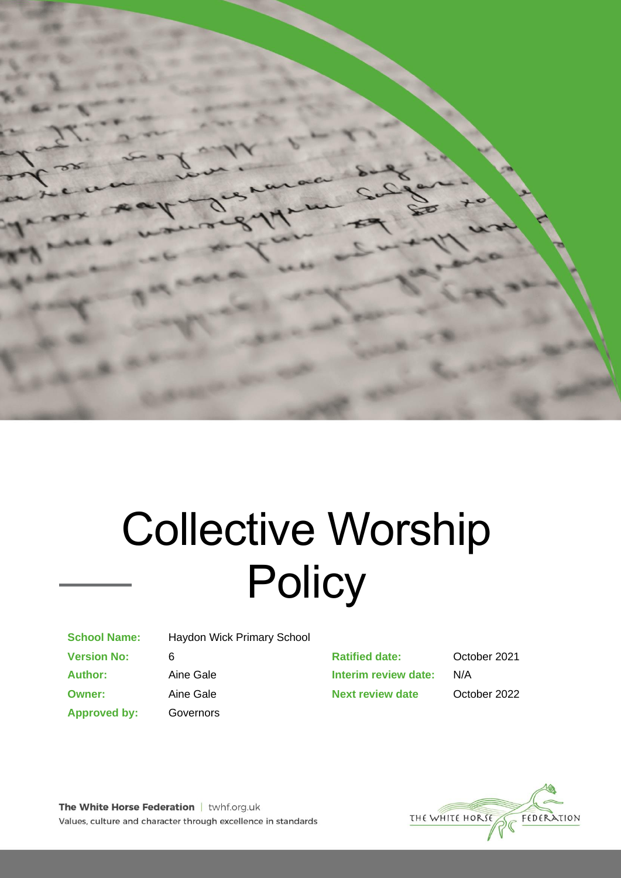

# Collective Worship **Policy**

**School Name:** Haydon Wick Primary School

**Approved by:** Governors

**Version No:** 6 **Ratified date:** October 2021 **Author:** Aine Gale **Interim review date:** N/A **Owner:** Aine Gale **Next review date** October 2022



The White Horse Federation | twhf.org.uk Values, culture and character through excellence in standards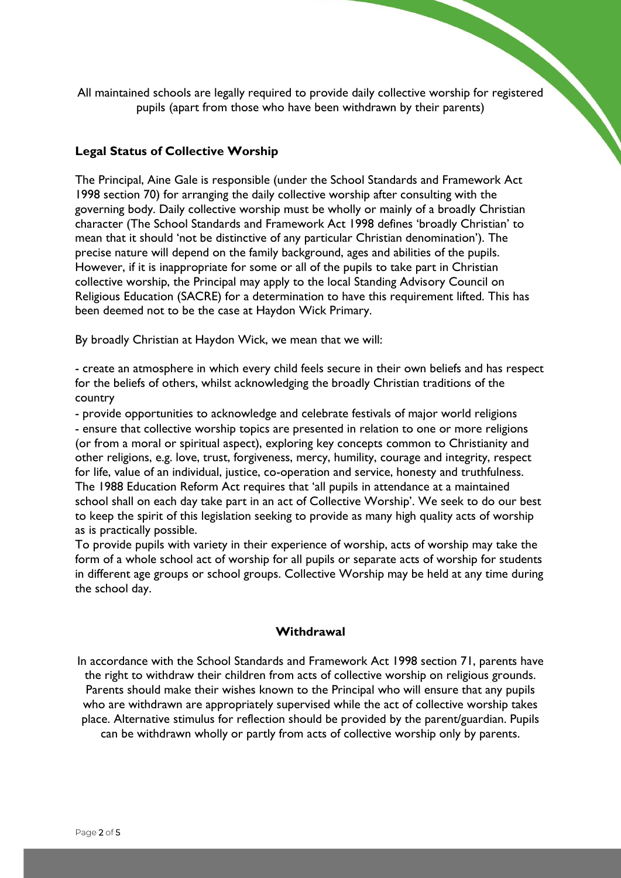All maintained schools are legally required to provide daily collective worship for registered pupils (apart from those who have been withdrawn by their parents)

#### **Legal Status of Collective Worship**

The Principal, Aine Gale is responsible (under the School Standards and Framework Act 1998 section 70) for arranging the daily collective worship after consulting with the governing body. Daily collective worship must be wholly or mainly of a broadly Christian character (The School Standards and Framework Act 1998 defines 'broadly Christian' to mean that it should 'not be distinctive of any particular Christian denomination'). The precise nature will depend on the family background, ages and abilities of the pupils. However, if it is inappropriate for some or all of the pupils to take part in Christian collective worship, the Principal may apply to the local Standing Advisory Council on Religious Education (SACRE) for a determination to have this requirement lifted. This has been deemed not to be the case at Haydon Wick Primary.

By broadly Christian at Haydon Wick, we mean that we will:

- create an atmosphere in which every child feels secure in their own beliefs and has respect for the beliefs of others, whilst acknowledging the broadly Christian traditions of the country

- provide opportunities to acknowledge and celebrate festivals of major world religions - ensure that collective worship topics are presented in relation to one or more religions (or from a moral or spiritual aspect), exploring key concepts common to Christianity and other religions, e.g. love, trust, forgiveness, mercy, humility, courage and integrity, respect for life, value of an individual, justice, co-operation and service, honesty and truthfulness. The 1988 Education Reform Act requires that 'all pupils in attendance at a maintained school shall on each day take part in an act of Collective Worship'. We seek to do our best to keep the spirit of this legislation seeking to provide as many high quality acts of worship as is practically possible.

To provide pupils with variety in their experience of worship, acts of worship may take the form of a whole school act of worship for all pupils or separate acts of worship for students in different age groups or school groups. Collective Worship may be held at any time during the school day.

#### **Withdrawal**

In accordance with the School Standards and Framework Act 1998 section 71, parents have the right to withdraw their children from acts of collective worship on religious grounds. Parents should make their wishes known to the Principal who will ensure that any pupils who are withdrawn are appropriately supervised while the act of collective worship takes place. Alternative stimulus for reflection should be provided by the parent/guardian. Pupils can be withdrawn wholly or partly from acts of collective worship only by parents.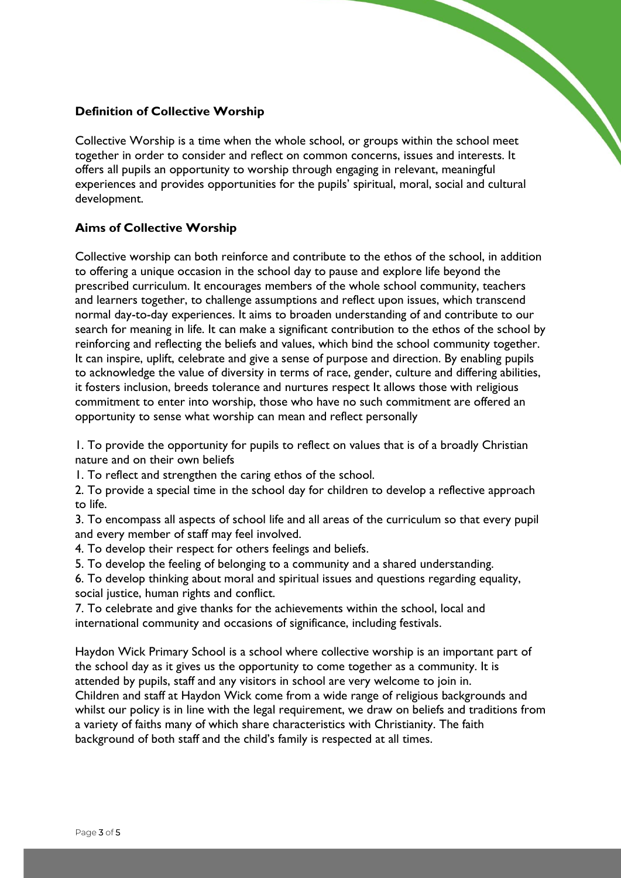## **Definition of Collective Worship**

Collective Worship is a time when the whole school, or groups within the school meet together in order to consider and reflect on common concerns, issues and interests. It offers all pupils an opportunity to worship through engaging in relevant, meaningful experiences and provides opportunities for the pupils' spiritual, moral, social and cultural development.

# **Aims of Collective Worship**

Collective worship can both reinforce and contribute to the ethos of the school, in addition to offering a unique occasion in the school day to pause and explore life beyond the prescribed curriculum. It encourages members of the whole school community, teachers and learners together, to challenge assumptions and reflect upon issues, which transcend normal day-to-day experiences. It aims to broaden understanding of and contribute to our search for meaning in life. It can make a significant contribution to the ethos of the school by reinforcing and reflecting the beliefs and values, which bind the school community together. It can inspire, uplift, celebrate and give a sense of purpose and direction. By enabling pupils to acknowledge the value of diversity in terms of race, gender, culture and differing abilities, it fosters inclusion, breeds tolerance and nurtures respect It allows those with religious commitment to enter into worship, those who have no such commitment are offered an opportunity to sense what worship can mean and reflect personally

1. To provide the opportunity for pupils to reflect on values that is of a broadly Christian nature and on their own beliefs

1. To reflect and strengthen the caring ethos of the school.

2. To provide a special time in the school day for children to develop a reflective approach to life.

3. To encompass all aspects of school life and all areas of the curriculum so that every pupil and every member of staff may feel involved.

4. To develop their respect for others feelings and beliefs.

5. To develop the feeling of belonging to a community and a shared understanding.

6. To develop thinking about moral and spiritual issues and questions regarding equality, social justice, human rights and conflict.

7. To celebrate and give thanks for the achievements within the school, local and international community and occasions of significance, including festivals.

Haydon Wick Primary School is a school where collective worship is an important part of the school day as it gives us the opportunity to come together as a community. It is attended by pupils, staff and any visitors in school are very welcome to join in. Children and staff at Haydon Wick come from a wide range of religious backgrounds and whilst our policy is in line with the legal requirement, we draw on beliefs and traditions from a variety of faiths many of which share characteristics with Christianity. The faith background of both staff and the child's family is respected at all times.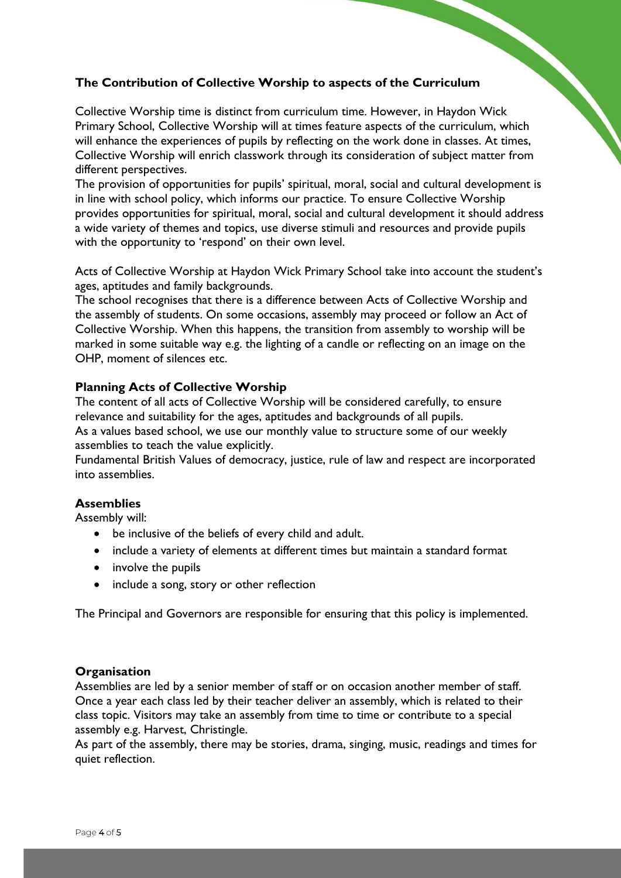# **The Contribution of Collective Worship to aspects of the Curriculum**

Collective Worship time is distinct from curriculum time. However, in Haydon Wick Primary School, Collective Worship will at times feature aspects of the curriculum, which will enhance the experiences of pupils by reflecting on the work done in classes. At times, Collective Worship will enrich classwork through its consideration of subject matter from different perspectives.

The provision of opportunities for pupils' spiritual, moral, social and cultural development is in line with school policy, which informs our practice. To ensure Collective Worship provides opportunities for spiritual, moral, social and cultural development it should address a wide variety of themes and topics, use diverse stimuli and resources and provide pupils with the opportunity to 'respond' on their own level.

Acts of Collective Worship at Haydon Wick Primary School take into account the student's ages, aptitudes and family backgrounds.

The school recognises that there is a difference between Acts of Collective Worship and the assembly of students. On some occasions, assembly may proceed or follow an Act of Collective Worship. When this happens, the transition from assembly to worship will be marked in some suitable way e.g. the lighting of a candle or reflecting on an image on the OHP, moment of silences etc.

### **Planning Acts of Collective Worship**

The content of all acts of Collective Worship will be considered carefully, to ensure relevance and suitability for the ages, aptitudes and backgrounds of all pupils. As a values based school, we use our monthly value to structure some of our weekly assemblies to teach the value explicitly.

Fundamental British Values of democracy, justice, rule of law and respect are incorporated into assemblies.

# **Assemblies**

Assembly will:

- be inclusive of the beliefs of every child and adult.
- include a variety of elements at different times but maintain a standard format
- involve the pupils
- include a song, story or other reflection

The Principal and Governors are responsible for ensuring that this policy is implemented.

#### **Organisation**

Assemblies are led by a senior member of staff or on occasion another member of staff. Once a year each class led by their teacher deliver an assembly, which is related to their class topic. Visitors may take an assembly from time to time or contribute to a special assembly e.g. Harvest, Christingle.

As part of the assembly, there may be stories, drama, singing, music, readings and times for quiet reflection.